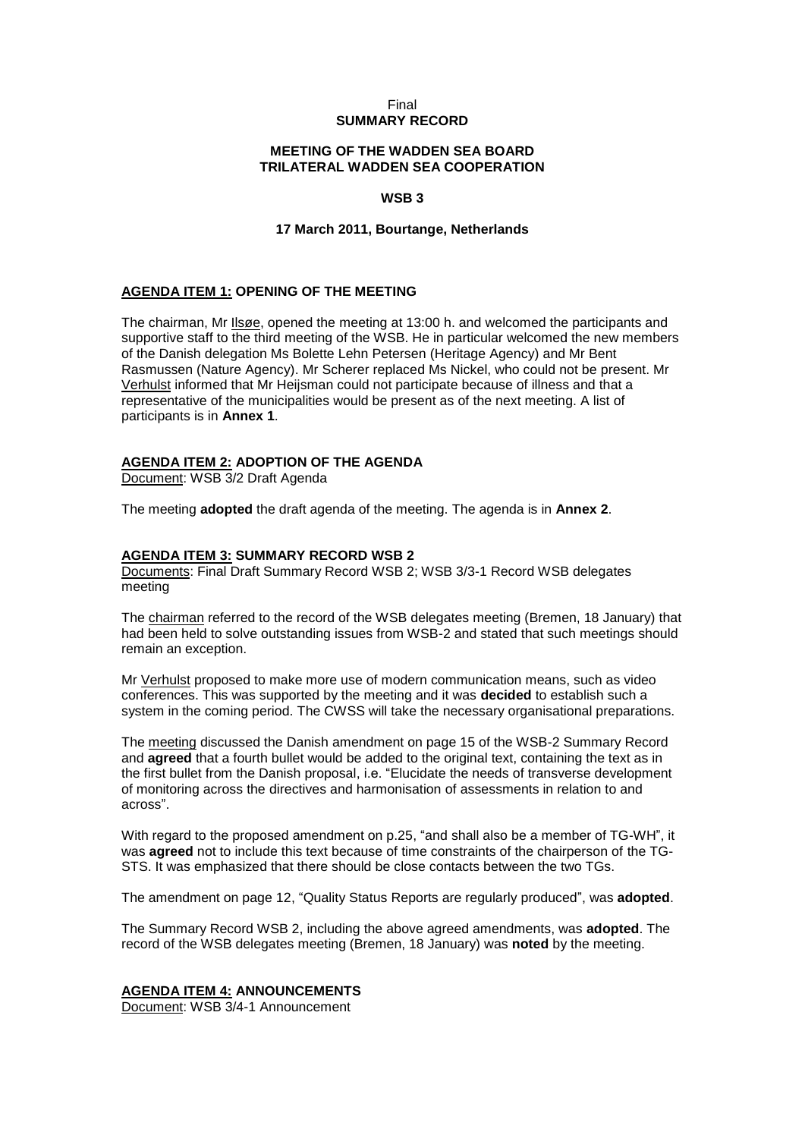## Final **SUMMARY RECORD**

## **MEETING OF THE WADDEN SEA BOARD TRILATERAL WADDEN SEA COOPERATION**

## **WSB 3**

## **17 March 2011, Bourtange, Netherlands**

## **AGENDA ITEM 1: OPENING OF THE MEETING**

The chairman, Mr Ilsøe, opened the meeting at 13:00 h. and welcomed the participants and supportive staff to the third meeting of the WSB. He in particular welcomed the new members of the Danish delegation Ms Bolette Lehn Petersen (Heritage Agency) and Mr Bent Rasmussen (Nature Agency). Mr Scherer replaced Ms Nickel, who could not be present. Mr Verhulst informed that Mr Heijsman could not participate because of illness and that a representative of the municipalities would be present as of the next meeting. A list of participants is in **Annex 1**.

## **AGENDA ITEM 2: ADOPTION OF THE AGENDA**

Document: WSB 3/2 Draft Agenda

The meeting **adopted** the draft agenda of the meeting. The agenda is in **Annex 2**.

## **AGENDA ITEM 3: SUMMARY RECORD WSB 2**

Documents: Final Draft Summary Record WSB 2; WSB 3/3-1 Record WSB delegates meeting

The chairman referred to the record of the WSB delegates meeting (Bremen, 18 January) that had been held to solve outstanding issues from WSB-2 and stated that such meetings should remain an exception.

Mr Verhulst proposed to make more use of modern communication means, such as video conferences. This was supported by the meeting and it was **decided** to establish such a system in the coming period. The CWSS will take the necessary organisational preparations.

The meeting discussed the Danish amendment on page 15 of the WSB-2 Summary Record and **agreed** that a fourth bullet would be added to the original text, containing the text as in the first bullet from the Danish proposal, i.e. "Elucidate the needs of transverse development of monitoring across the directives and harmonisation of assessments in relation to and across".

With regard to the proposed amendment on p.25, "and shall also be a member of TG-WH", it was **agreed** not to include this text because of time constraints of the chairperson of the TG-STS. It was emphasized that there should be close contacts between the two TGs.

The amendment on page 12, "Quality Status Reports are regularly produced", was **adopted**.

The Summary Record WSB 2, including the above agreed amendments, was **adopted**. The record of the WSB delegates meeting (Bremen, 18 January) was **noted** by the meeting.

## **AGENDA ITEM 4: ANNOUNCEMENTS**

Document: WSB 3/4-1 Announcement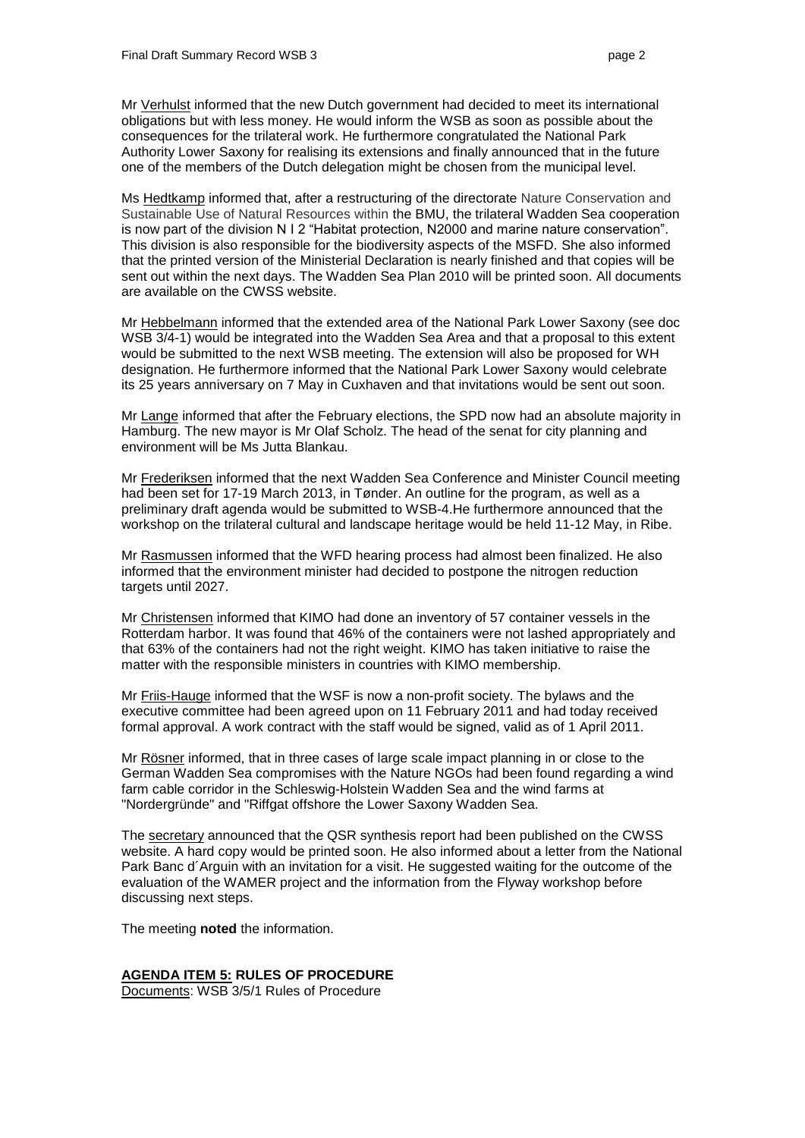Mr Verhulst informed that the new Dutch government had decided to meet its international obligations but with less money. He would inform the WSB as soon as possible about the consequences for the trilateral work. He furthermore congratulated the National Park Authority Lower Saxony for realising its extensions and finally announced that in the future one of the members of the Dutch delegation might be chosen from the municipal level.

Ms Hedtkamp informed that, after a restructuring of the directorate Nature Conservation and Sustainable Use of Natural Resources within the BMU, the trilateral Wadden Sea cooperation is now part of the division N I 2 "Habitat protection, N2000 and marine nature conservation". This division is also responsible for the biodiversity aspects of the MSFD. She also informed that the printed version of the Ministerial Declaration is nearly finished and that copies will be sent out within the next days. The Wadden Sea Plan 2010 will be printed soon. All documents are available on the CWSS website.

Mr Hebbelmann informed that the extended area of the National Park Lower Saxony (see doc WSB 3/4-1) would be integrated into the Wadden Sea Area and that a proposal to this extent would be submitted to the next WSB meeting. The extension will also be proposed for WH designation. He furthermore informed that the National Park Lower Saxony would celebrate its 25 years anniversary on 7 May in Cuxhaven and that invitations would be sent out soon.

Mr Lange informed that after the February elections, the SPD now had an absolute majority in Hamburg. The new mayor is Mr Olaf Scholz. The head of the senat for city planning and environment will be Ms Jutta Blankau.

Mr Frederiksen informed that the next Wadden Sea Conference and Minister Council meeting had been set for 17-19 March 2013, in Tønder. An outline for the program, as well as a preliminary draft agenda would be submitted to WSB-4.He furthermore announced that the workshop on the trilateral cultural and landscape heritage would be held 11-12 May, in Ribe.

Mr Rasmussen informed that the WFD hearing process had almost been finalized. He also informed that the environment minister had decided to postpone the nitrogen reduction targets until 2027.

Mr Christensen informed that KIMO had done an inventory of 57 container vessels in the Rotterdam harbor. It was found that 46% of the containers were not lashed appropriately and that 63% of the containers had not the right weight. KIMO has taken initiative to raise the matter with the responsible ministers in countries with KIMO membership.

Mr Friis-Hauge informed that the WSF is now a non-profit society. The bylaws and the executive committee had been agreed upon on 11 February 2011 and had today received formal approval. A work contract with the staff would be signed, valid as of 1 April 2011.

Mr Rösner informed, that in three cases of large scale impact planning in or close to the German Wadden Sea compromises with the Nature NGOs had been found regarding a wind farm cable corridor in the Schleswig-Holstein Wadden Sea and the wind farms at "Nordergründe" and "Riffgat offshore the Lower Saxony Wadden Sea.

The secretary announced that the QSR synthesis report had been published on the CWSS website. A hard copy would be printed soon. He also informed about a letter from the National Park Banc d´Arguin with an invitation for a visit. He suggested waiting for the outcome of the evaluation of the WAMER project and the information from the Flyway workshop before discussing next steps.

The meeting **noted** the information.

## **AGENDA ITEM 5: RULES OF PROCEDURE**

Documents: WSB 3/5/1 Rules of Procedure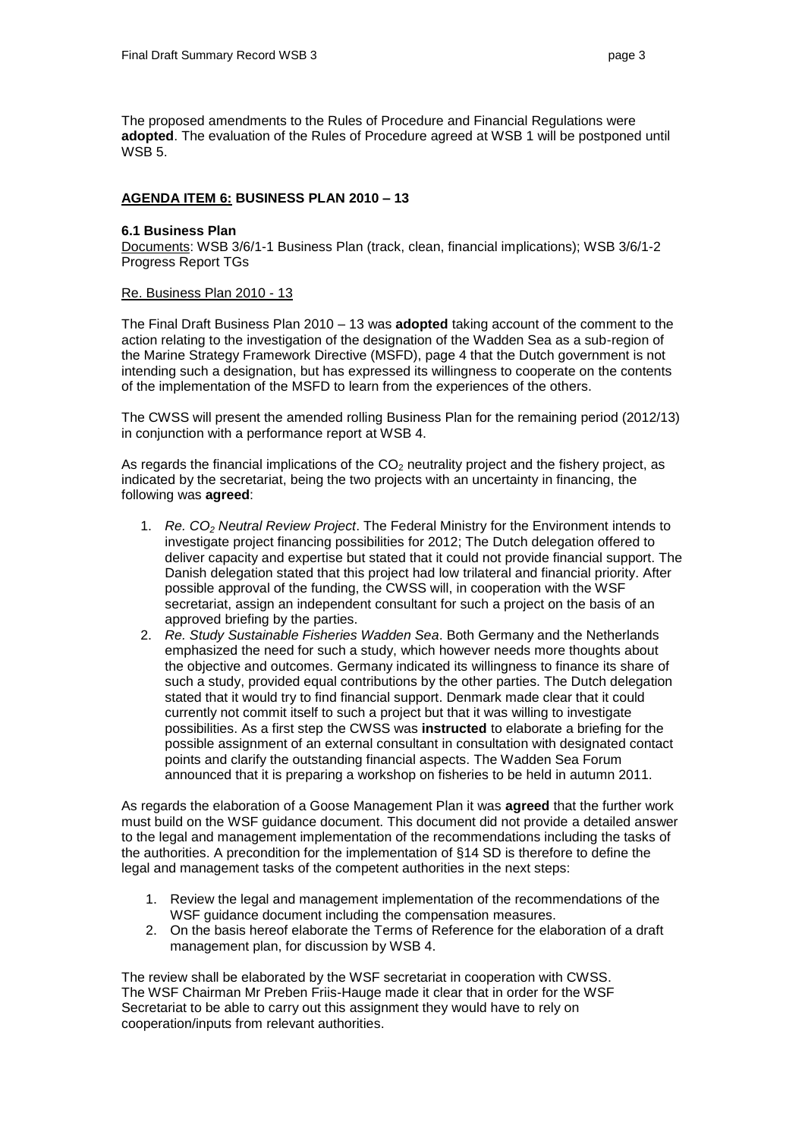The proposed amendments to the Rules of Procedure and Financial Regulations were **adopted**. The evaluation of the Rules of Procedure agreed at WSB 1 will be postponed until WSB 5.

## **AGENDA ITEM 6: BUSINESS PLAN 2010 – 13**

## **6.1 Business Plan**

Documents: WSB 3/6/1-1 Business Plan (track, clean, financial implications); WSB 3/6/1-2 Progress Report TGs

## Re. Business Plan 2010 - 13

The Final Draft Business Plan 2010 – 13 was **adopted** taking account of the comment to the action relating to the investigation of the designation of the Wadden Sea as a sub-region of the Marine Strategy Framework Directive (MSFD), page 4 that the Dutch government is not intending such a designation, but has expressed its willingness to cooperate on the contents of the implementation of the MSFD to learn from the experiences of the others.

The CWSS will present the amended rolling Business Plan for the remaining period (2012/13) in conjunction with a performance report at WSB 4.

As regards the financial implications of the  $CO<sub>2</sub>$  neutrality project and the fishery project, as indicated by the secretariat, being the two projects with an uncertainty in financing, the following was **agreed**:

- 1. *Re. CO<sup>2</sup> Neutral Review Project*. The Federal Ministry for the Environment intends to investigate project financing possibilities for 2012; The Dutch delegation offered to deliver capacity and expertise but stated that it could not provide financial support. The Danish delegation stated that this project had low trilateral and financial priority. After possible approval of the funding, the CWSS will, in cooperation with the WSF secretariat, assign an independent consultant for such a project on the basis of an approved briefing by the parties.
- 2. *Re. Study Sustainable Fisheries Wadden Sea*. Both Germany and the Netherlands emphasized the need for such a study, which however needs more thoughts about the objective and outcomes. Germany indicated its willingness to finance its share of such a study, provided equal contributions by the other parties. The Dutch delegation stated that it would try to find financial support. Denmark made clear that it could currently not commit itself to such a project but that it was willing to investigate possibilities. As a first step the CWSS was **instructed** to elaborate a briefing for the possible assignment of an external consultant in consultation with designated contact points and clarify the outstanding financial aspects. The Wadden Sea Forum announced that it is preparing a workshop on fisheries to be held in autumn 2011.

As regards the elaboration of a Goose Management Plan it was **agreed** that the further work must build on the WSF guidance document. This document did not provide a detailed answer to the legal and management implementation of the recommendations including the tasks of the authorities. A precondition for the implementation of §14 SD is therefore to define the legal and management tasks of the competent authorities in the next steps:

- 1. Review the legal and management implementation of the recommendations of the WSF guidance document including the compensation measures.
- 2. On the basis hereof elaborate the Terms of Reference for the elaboration of a draft management plan, for discussion by WSB 4.

The review shall be elaborated by the WSF secretariat in cooperation with CWSS. The WSF Chairman Mr Preben Friis-Hauge made it clear that in order for the WSF Secretariat to be able to carry out this assignment they would have to rely on cooperation/inputs from relevant authorities.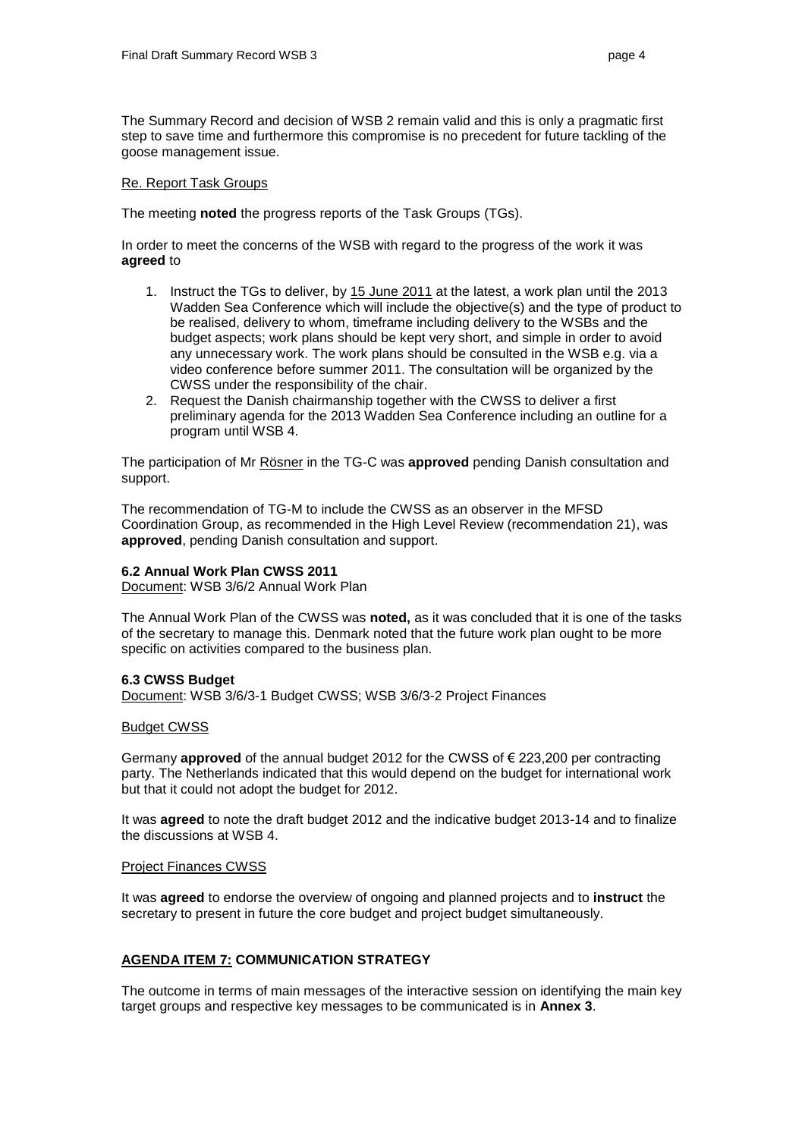The Summary Record and decision of WSB 2 remain valid and this is only a pragmatic first step to save time and furthermore this compromise is no precedent for future tackling of the goose management issue.

#### Re. Report Task Groups

The meeting **noted** the progress reports of the Task Groups (TGs).

In order to meet the concerns of the WSB with regard to the progress of the work it was **agreed** to

- 1. Instruct the TGs to deliver, by 15 June 2011 at the latest, a work plan until the 2013 Wadden Sea Conference which will include the objective(s) and the type of product to be realised, delivery to whom, timeframe including delivery to the WSBs and the budget aspects; work plans should be kept very short, and simple in order to avoid any unnecessary work. The work plans should be consulted in the WSB e.g. via a video conference before summer 2011. The consultation will be organized by the CWSS under the responsibility of the chair.
- 2. Request the Danish chairmanship together with the CWSS to deliver a first preliminary agenda for the 2013 Wadden Sea Conference including an outline for a program until WSB 4.

The participation of Mr Rösner in the TG-C was **approved** pending Danish consultation and support.

The recommendation of TG-M to include the CWSS as an observer in the MFSD Coordination Group, as recommended in the High Level Review (recommendation 21), was **approved**, pending Danish consultation and support.

## **6.2 Annual Work Plan CWSS 2011**

Document: WSB 3/6/2 Annual Work Plan

The Annual Work Plan of the CWSS was **noted,** as it was concluded that it is one of the tasks of the secretary to manage this. Denmark noted that the future work plan ought to be more specific on activities compared to the business plan.

## **6.3 CWSS Budget**

Document: WSB 3/6/3-1 Budget CWSS; WSB 3/6/3-2 Project Finances

## Budget CWSS

Germany **approved** of the annual budget 2012 for the CWSS of € 223,200 per contracting party. The Netherlands indicated that this would depend on the budget for international work but that it could not adopt the budget for 2012.

It was **agreed** to note the draft budget 2012 and the indicative budget 2013-14 and to finalize the discussions at WSB 4.

## Project Finances CWSS

It was **agreed** to endorse the overview of ongoing and planned projects and to **instruct** the secretary to present in future the core budget and project budget simultaneously.

## **AGENDA ITEM 7: COMMUNICATION STRATEGY**

The outcome in terms of main messages of the interactive session on identifying the main key target groups and respective key messages to be communicated is in **Annex 3**.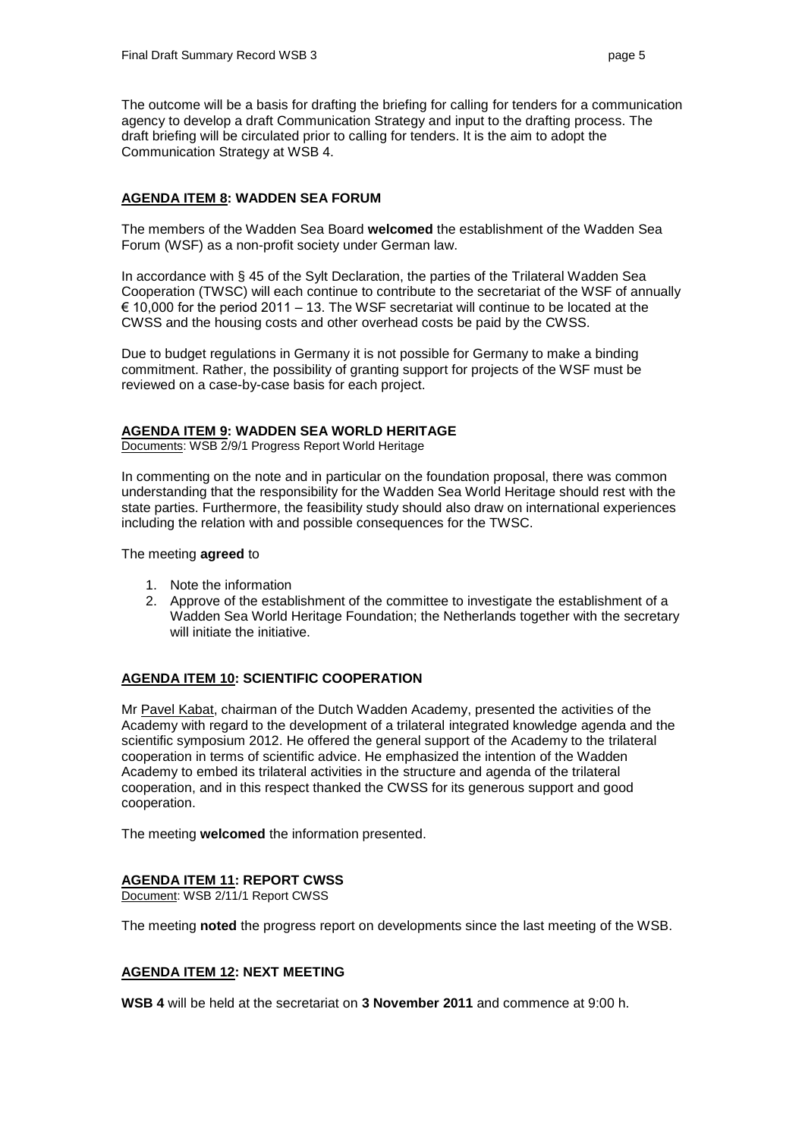The outcome will be a basis for drafting the briefing for calling for tenders for a communication agency to develop a draft Communication Strategy and input to the drafting process. The draft briefing will be circulated prior to calling for tenders. It is the aim to adopt the Communication Strategy at WSB 4.

## **AGENDA ITEM 8: WADDEN SEA FORUM**

The members of the Wadden Sea Board **welcomed** the establishment of the Wadden Sea Forum (WSF) as a non-profit society under German law.

In accordance with § 45 of the Sylt Declaration, the parties of the Trilateral Wadden Sea Cooperation (TWSC) will each continue to contribute to the secretariat of the WSF of annually  $\epsilon$  10,000 for the period 2011 – 13. The WSF secretariat will continue to be located at the CWSS and the housing costs and other overhead costs be paid by the CWSS.

Due to budget regulations in Germany it is not possible for Germany to make a binding commitment. Rather, the possibility of granting support for projects of the WSF must be reviewed on a case-by-case basis for each project.

## **AGENDA ITEM 9: WADDEN SEA WORLD HERITAGE**

Documents: WSB 2/9/1 Progress Report World Heritage

In commenting on the note and in particular on the foundation proposal, there was common understanding that the responsibility for the Wadden Sea World Heritage should rest with the state parties. Furthermore, the feasibility study should also draw on international experiences including the relation with and possible consequences for the TWSC.

The meeting **agreed** to

- 1. Note the information
- 2. Approve of the establishment of the committee to investigate the establishment of a Wadden Sea World Heritage Foundation; the Netherlands together with the secretary will initiate the initiative.

## **AGENDA ITEM 10: SCIENTIFIC COOPERATION**

Mr Pavel Kabat, chairman of the Dutch Wadden Academy, presented the activities of the Academy with regard to the development of a trilateral integrated knowledge agenda and the scientific symposium 2012. He offered the general support of the Academy to the trilateral cooperation in terms of scientific advice. He emphasized the intention of the Wadden Academy to embed its trilateral activities in the structure and agenda of the trilateral cooperation, and in this respect thanked the CWSS for its generous support and good cooperation.

The meeting **welcomed** the information presented.

## **AGENDA ITEM 11: REPORT CWSS**

Document: WSB 2/11/1 Report CWSS

The meeting **noted** the progress report on developments since the last meeting of the WSB.

## **AGENDA ITEM 12: NEXT MEETING**

**WSB 4** will be held at the secretariat on **3 November 2011** and commence at 9:00 h.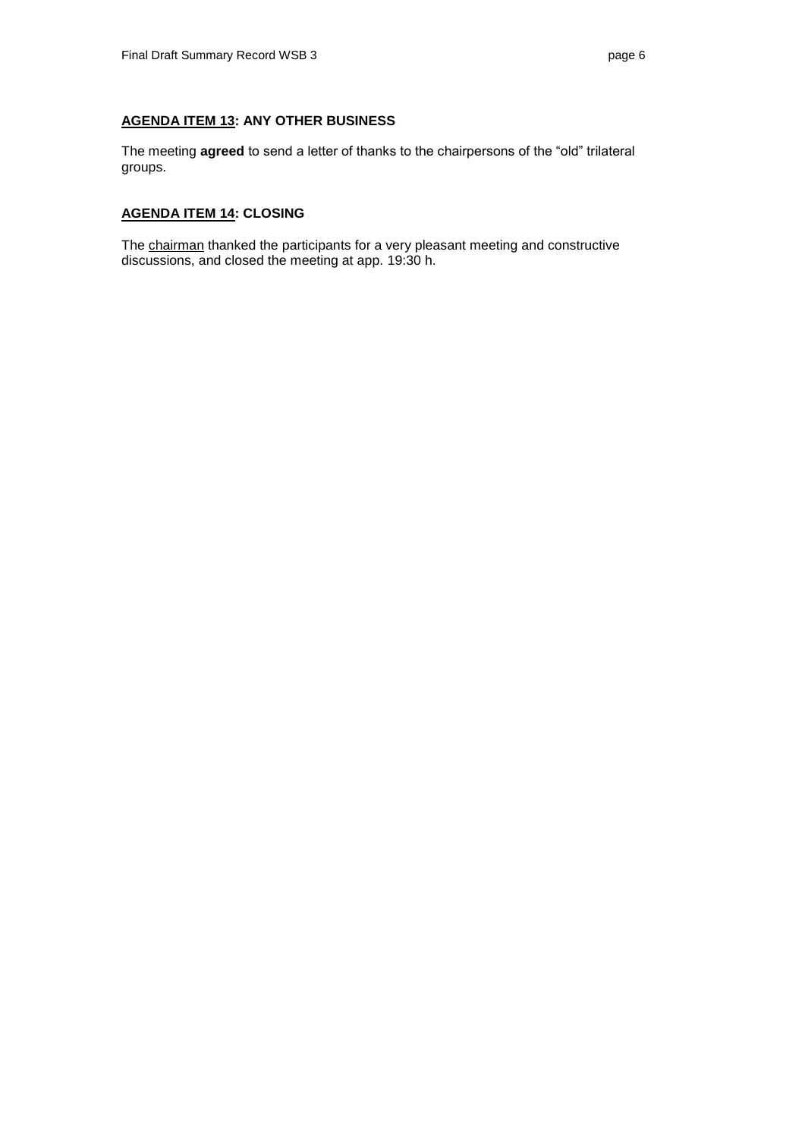# **AGENDA ITEM 13: ANY OTHER BUSINESS**

The meeting **agreed** to send a letter of thanks to the chairpersons of the "old" trilateral groups.

## **AGENDA ITEM 14: CLOSING**

The chairman thanked the participants for a very pleasant meeting and constructive discussions, and closed the meeting at app. 19:30 h.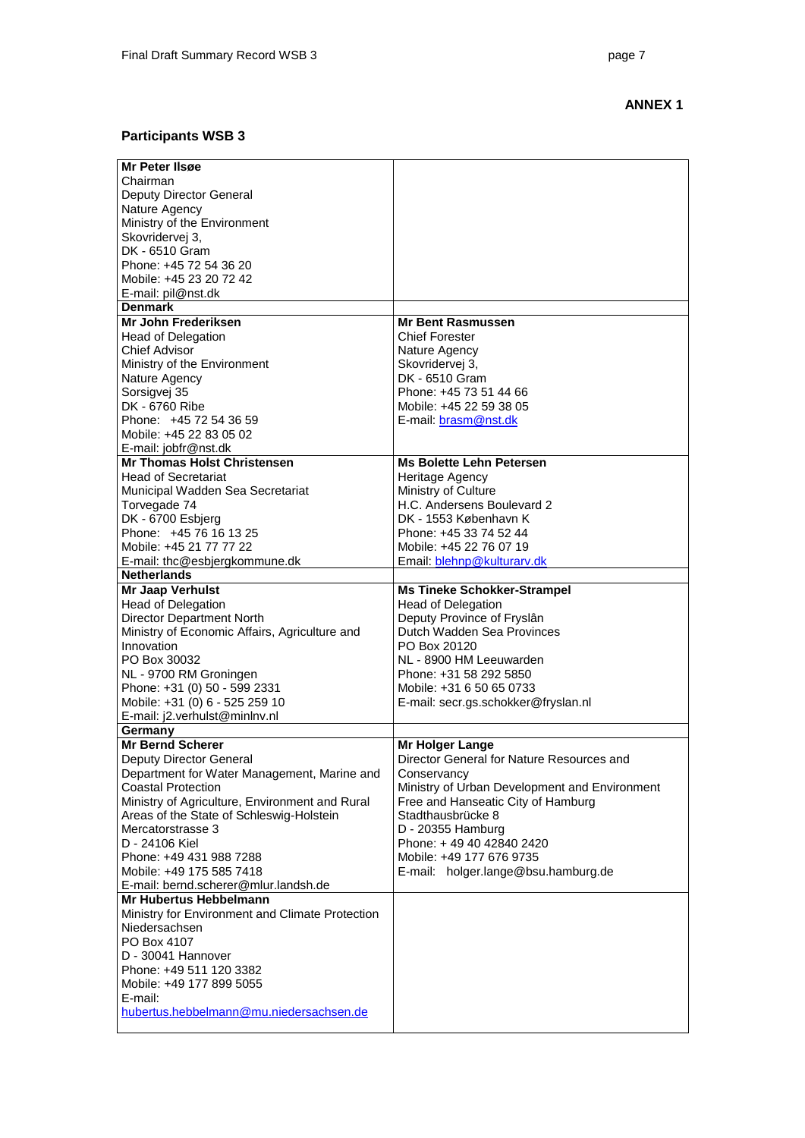## **ANNEX 1**

## **Participants WSB 3**

| Mr Peter IIsøe                                  |                                               |
|-------------------------------------------------|-----------------------------------------------|
| Chairman                                        |                                               |
| Deputy Director General                         |                                               |
| Nature Agency                                   |                                               |
| Ministry of the Environment                     |                                               |
| Skovridervej 3,                                 |                                               |
| DK - 6510 Gram                                  |                                               |
| Phone: +45 72 54 36 20                          |                                               |
| Mobile: +45 23 20 72 42                         |                                               |
| E-mail: pil@nst.dk                              |                                               |
| <b>Denmark</b>                                  |                                               |
| Mr John Frederiksen                             | <b>Mr Bent Rasmussen</b>                      |
| <b>Head of Delegation</b>                       | <b>Chief Forester</b>                         |
| Chief Advisor                                   | Nature Agency                                 |
| Ministry of the Environment                     | Skovridervej 3,                               |
| Nature Agency                                   | DK - 6510 Gram                                |
|                                                 | Phone: +45 73 51 44 66                        |
| Sorsigvej 35                                    |                                               |
| DK - 6760 Ribe                                  | Mobile: +45 22 59 38 05                       |
| Phone: +45 72 54 36 59                          | E-mail: brasm@nst.dk                          |
| Mobile: +45 22 83 05 02                         |                                               |
| E-mail: jobfr@nst.dk                            |                                               |
| <b>Mr Thomas Holst Christensen</b>              | <b>Ms Bolette Lehn Petersen</b>               |
| <b>Head of Secretariat</b>                      | Heritage Agency                               |
| Municipal Wadden Sea Secretariat                | Ministry of Culture                           |
| Torvegade 74                                    | H.C. Andersens Boulevard 2                    |
| DK - 6700 Esbjerg                               | DK - 1553 København K                         |
| Phone: +45 76 16 13 25                          | Phone: +45 33 74 52 44                        |
| Mobile: +45 21 77 77 22                         | Mobile: +45 22 76 07 19                       |
| E-mail: thc@esbjergkommune.dk                   | Email: blehnp@kulturarv.dk                    |
| <b>Netherlands</b>                              |                                               |
| Mr Jaap Verhulst                                | <b>Ms Tineke Schokker-Strampel</b>            |
| Head of Delegation                              | <b>Head of Delegation</b>                     |
| <b>Director Department North</b>                | Deputy Province of Fryslân                    |
| Ministry of Economic Affairs, Agriculture and   | Dutch Wadden Sea Provinces                    |
| Innovation                                      | PO Box 20120                                  |
| PO Box 30032                                    | NL - 8900 HM Leeuwarden                       |
| NL - 9700 RM Groningen                          | Phone: +31 58 292 5850                        |
| Phone: +31 (0) 50 - 599 2331                    | Mobile: +31 6 50 65 0733                      |
| Mobile: +31 (0) 6 - 525 259 10                  | E-mail: secr.gs.schokker@fryslan.nl           |
| E-mail: j2.verhulst@minlnv.nl                   |                                               |
| Germany                                         |                                               |
| Mr Bernd Scherer                                | Mr Holger Lange                               |
| Deputy Director General                         | Director General for Nature Resources and     |
| Department for Water Management, Marine and     | Conservancy                                   |
| <b>Coastal Protection</b>                       | Ministry of Urban Development and Environment |
| Ministry of Agriculture, Environment and Rural  | Free and Hanseatic City of Hamburg            |
|                                                 | Stadthausbrücke 8                             |
| Areas of the State of Schleswig-Holstein        |                                               |
| Mercatorstrasse 3                               | D - 20355 Hamburg                             |
| D - 24106 Kiel                                  | Phone: +49 40 42840 2420                      |
| Phone: +49 431 988 7288                         | Mobile: +49 177 676 9735                      |
| Mobile: +49 175 585 7418                        | E-mail: holger.lange@bsu.hamburg.de           |
| E-mail: bernd.scherer@mlur.landsh.de            |                                               |
| Mr Hubertus Hebbelmann                          |                                               |
| Ministry for Environment and Climate Protection |                                               |
| Niedersachsen                                   |                                               |
| PO Box 4107                                     |                                               |
| D - 30041 Hannover                              |                                               |
| Phone: +49 511 120 3382                         |                                               |
| Mobile: +49 177 899 5055                        |                                               |
| E-mail:                                         |                                               |
| hubertus.hebbelmann@mu.niedersachsen.de         |                                               |
|                                                 |                                               |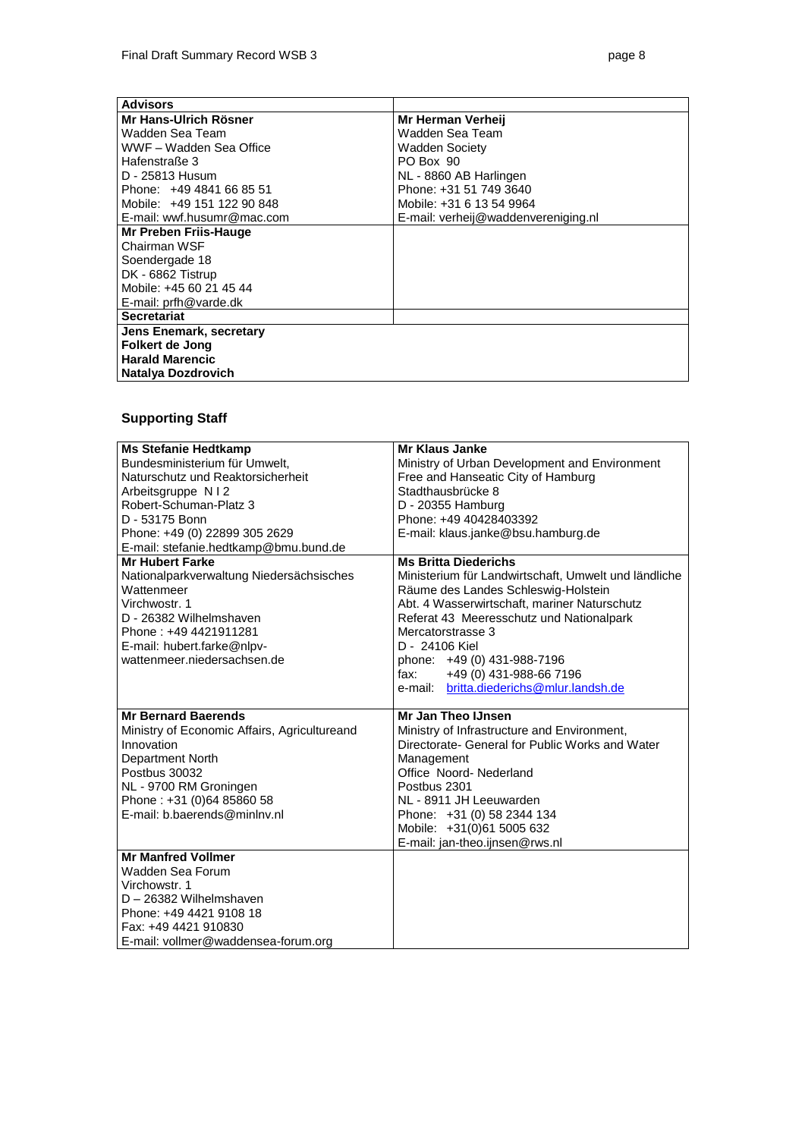| <b>Advisors</b>            |                                     |
|----------------------------|-------------------------------------|
| Mr Hans-Ulrich Rösner      | Mr Herman Verheii                   |
| Wadden Sea Team            | Wadden Sea Team                     |
| WWF - Wadden Sea Office    | <b>Wadden Society</b>               |
| Hafenstraße 3              | PO Box 90                           |
| D - 25813 Husum            | NL - 8860 AB Harlingen              |
| Phone: +49 4841 66 85 51   | Phone: +31 51 749 3640              |
| Mobile: +49 151 122 90 848 | Mobile: +31 6 13 54 9964            |
| E-mail: wwf.husumr@mac.com | E-mail: verheij@waddenvereniging.nl |
| Mr Preben Friis-Hauge      |                                     |
| Chairman WSF               |                                     |
| Soendergade 18             |                                     |
| DK - 6862 Tistrup          |                                     |
| Mobile: +45 60 21 45 44    |                                     |
| E-mail: prfh@varde.dk      |                                     |
| <b>Secretariat</b>         |                                     |
| Jens Enemark, secretary    |                                     |
| Folkert de Jong            |                                     |
| <b>Harald Marencic</b>     |                                     |
| Natalya Dozdrovich         |                                     |

## **Supporting Staff**

| <b>Ms Stefanie Hedtkamp</b>                  | Mr Klaus Janke                                       |  |
|----------------------------------------------|------------------------------------------------------|--|
| Bundesministerium für Umwelt,                | Ministry of Urban Development and Environment        |  |
| Naturschutz und Reaktorsicherheit            | Free and Hanseatic City of Hamburg                   |  |
| Arbeitsgruppe N   2                          | Stadthausbrücke 8                                    |  |
| Robert-Schuman-Platz 3                       | D - 20355 Hamburg                                    |  |
| D - 53175 Bonn                               | Phone: +49 40428403392                               |  |
| Phone: +49 (0) 22899 305 2629                | E-mail: klaus.janke@bsu.hamburg.de                   |  |
| E-mail: stefanie.hedtkamp@bmu.bund.de        |                                                      |  |
| <b>Mr Hubert Farke</b>                       | <b>Ms Britta Diederichs</b>                          |  |
| Nationalparkverwaltung Niedersächsisches     | Ministerium für Landwirtschaft, Umwelt und ländliche |  |
| Wattenmeer                                   | Räume des Landes Schleswig-Holstein                  |  |
| Virchwostr, 1                                | Abt. 4 Wasserwirtschaft, mariner Naturschutz         |  |
| D - 26382 Wilhelmshaven                      | Referat 43 Meeresschutz und Nationalpark             |  |
| Phone: +49 4421911281                        | Mercatorstrasse 3                                    |  |
| E-mail: hubert.farke@nlpv-                   | D - 24106 Kiel                                       |  |
| wattenmeer.niedersachsen.de                  | phone: +49 (0) 431-988-7196                          |  |
|                                              | +49 (0) 431-988-66 7196<br>fax:                      |  |
|                                              | britta.diederichs@mlur.landsh.de<br>e-mail:          |  |
|                                              |                                                      |  |
| <b>Mr Bernard Baerends</b>                   | Mr Jan Theo IJnsen                                   |  |
| Ministry of Economic Affairs, Agricultureand | Ministry of Infrastructure and Environment,          |  |
| Innovation                                   | Directorate- General for Public Works and Water      |  |
| Department North                             | Management                                           |  |
| Postbus 30032                                | Office Noord-Nederland                               |  |
| NL - 9700 RM Groningen                       | Postbus 2301                                         |  |
| Phone: +31 (0)64 85860 58                    | NL - 8911 JH Leeuwarden                              |  |
| E-mail: b.baerends@minlny.nl                 | Phone: +31 (0) 58 2344 134                           |  |
|                                              | Mobile: +31(0)61 5005 632                            |  |
|                                              | E-mail: jan-theo.ijnsen@rws.nl                       |  |
| <b>Mr Manfred Vollmer</b>                    |                                                      |  |
| Wadden Sea Forum                             |                                                      |  |
| Virchowstr. 1                                |                                                      |  |
| D - 26382 Wilhelmshaven                      |                                                      |  |
| Phone: +49 4421 9108 18                      |                                                      |  |
| Fax: +49 4421 910830                         |                                                      |  |
| E-mail: vollmer@waddensea-forum.org          |                                                      |  |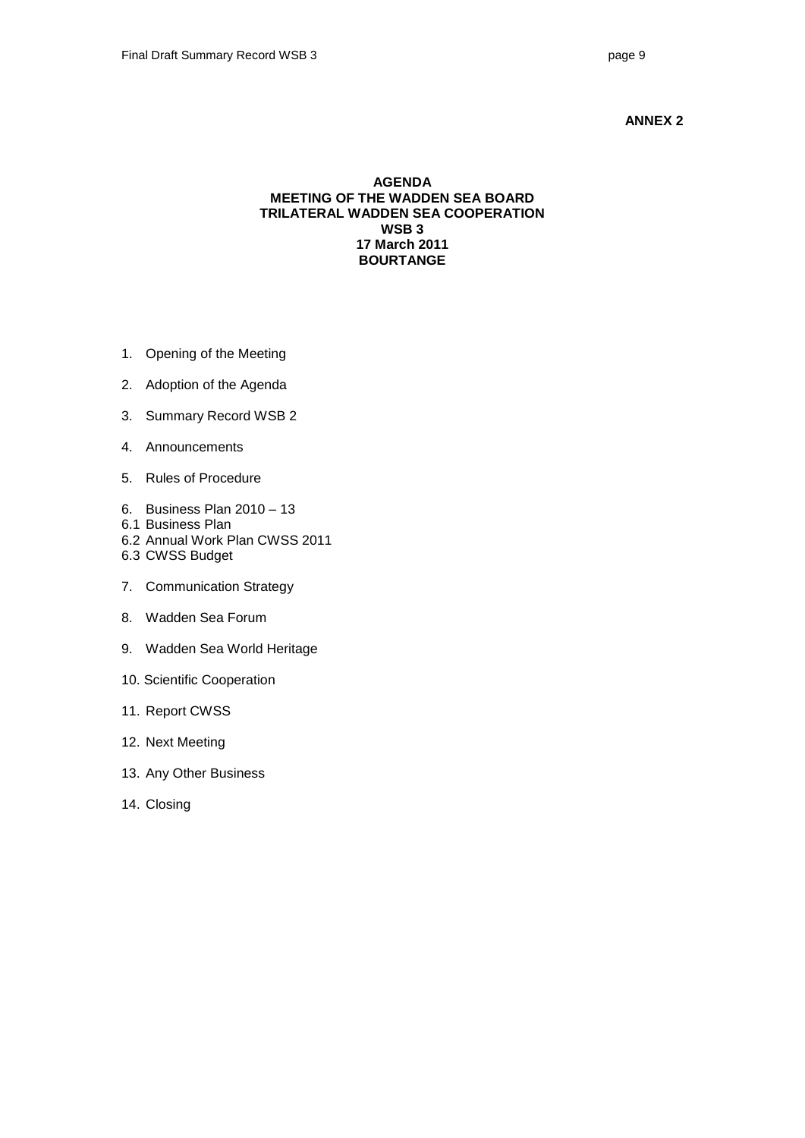## **ANNEX 2**

## **AGENDA MEETING OF THE WADDEN SEA BOARD TRILATERAL WADDEN SEA COOPERATION WSB 3 17 March 2011 BOURTANGE**

- 1. Opening of the Meeting
- 2. Adoption of the Agenda
- 3. Summary Record WSB 2
- 4. Announcements
- 5. Rules of Procedure
- 6. Business Plan 2010 13
- 6.1 Business Plan
- 6.2 Annual Work Plan CWSS 2011
- 6.3 CWSS Budget
- 7. Communication Strategy
- 8. Wadden Sea Forum
- 9. Wadden Sea World Heritage
- 10. Scientific Cooperation
- 11. Report CWSS
- 12. Next Meeting
- 13. Any Other Business
- 14. Closing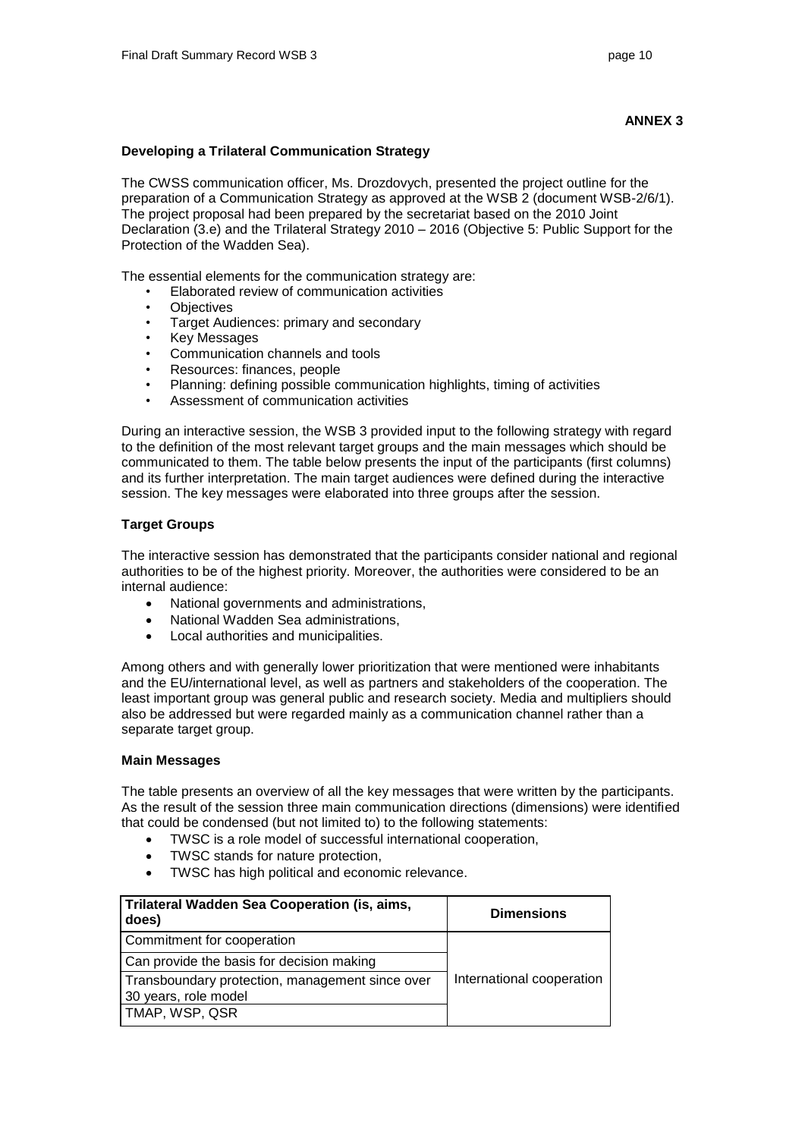## **ANNEX 3**

## **Developing a Trilateral Communication Strategy**

The CWSS communication officer, Ms. Drozdovych, presented the project outline for the preparation of a Communication Strategy as approved at the WSB 2 (document WSB-2/6/1). The project proposal had been prepared by the secretariat based on the 2010 Joint Declaration (3.e) and the Trilateral Strategy 2010 – 2016 (Objective 5: Public Support for the Protection of the Wadden Sea).

The essential elements for the communication strategy are:

- Elaborated review of communication activities
- Objectives
- Target Audiences: primary and secondary<br>• Key Messages
- Key Messages
- Communication channels and tools
- Resources: finances, people
- Planning: defining possible communication highlights, timing of activities
- Assessment of communication activities

During an interactive session, the WSB 3 provided input to the following strategy with regard to the definition of the most relevant target groups and the main messages which should be communicated to them. The table below presents the input of the participants (first columns) and its further interpretation. The main target audiences were defined during the interactive session. The key messages were elaborated into three groups after the session.

## **Target Groups**

The interactive session has demonstrated that the participants consider national and regional authorities to be of the highest priority. Moreover, the authorities were considered to be an internal audience:

- National governments and administrations,
- National Wadden Sea administrations,
- Local authorities and municipalities.

Among others and with generally lower prioritization that were mentioned were inhabitants and the EU/international level, as well as partners and stakeholders of the cooperation. The least important group was general public and research society. Media and multipliers should also be addressed but were regarded mainly as a communication channel rather than a separate target group.

## **Main Messages**

The table presents an overview of all the key messages that were written by the participants. As the result of the session three main communication directions (dimensions) were identified that could be condensed (but not limited to) to the following statements:

- TWSC is a role model of successful international cooperation,
- TWSC stands for nature protection,
- TWSC has high political and economic relevance.

| Trilateral Wadden Sea Cooperation (is, aims,<br>does)                   | <b>Dimensions</b>         |
|-------------------------------------------------------------------------|---------------------------|
| Commitment for cooperation                                              |                           |
| Can provide the basis for decision making                               |                           |
| Transboundary protection, management since over<br>30 years, role model | International cooperation |
| TMAP, WSP, QSR                                                          |                           |